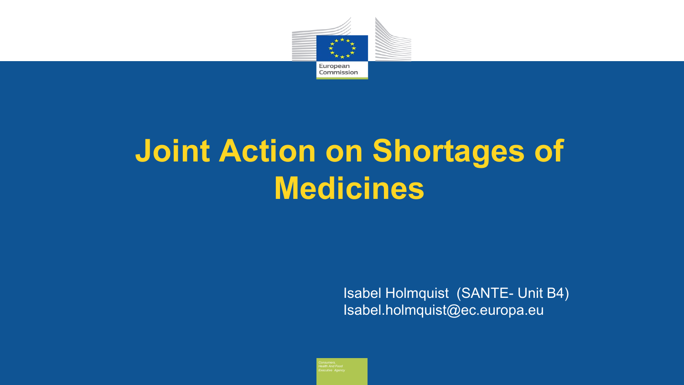

# **Joint Action on Shortages of Medicines**

Isabel Holmquist (SANTE- Unit B4) Isabel.holmquist@ec.europa.eu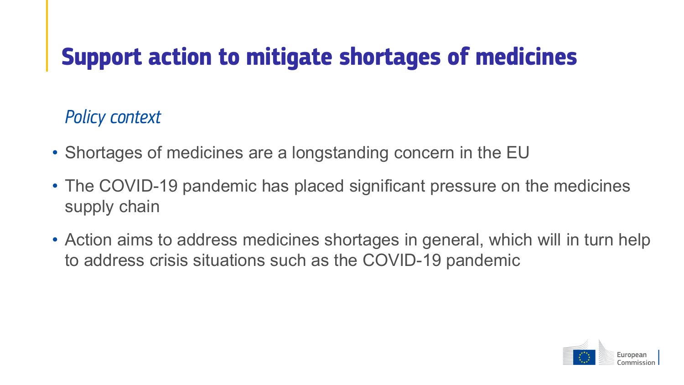### *Policy context*

- Shortages of medicines are a longstanding concern in the EU
- The COVID-19 pandemic has placed significant pressure on the medicines supply chain
- Action aims to address medicines shortages in general, which will in turn help to address crisis situations such as the COVID-19 pandemic

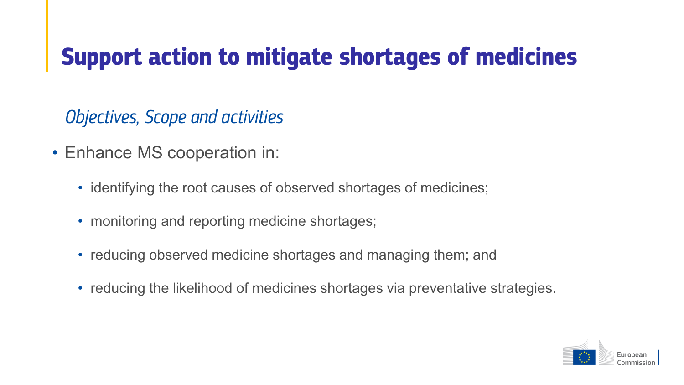*Objectives, Scope and activities*

- Enhance MS cooperation in:
	- identifying the root causes of observed shortages of medicines;
	- monitoring and reporting medicine shortages;
	- reducing observed medicine shortages and managing them; and
	- reducing the likelihood of medicines shortages via preventative strategies.

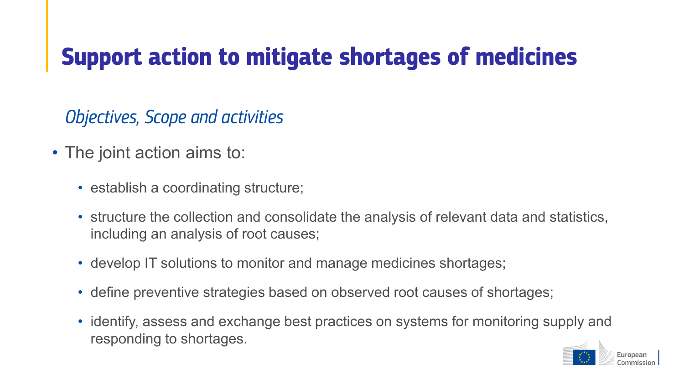*Objectives, Scope and activities*

- The joint action aims to:
	- establish a coordinating structure;
	- structure the collection and consolidate the analysis of relevant data and statistics, including an analysis of root causes;
	- develop IT solutions to monitor and manage medicines shortages;
	- define preventive strategies based on observed root causes of shortages;
	- identify, assess and exchange best practices on systems for monitoring supply and responding to shortages.

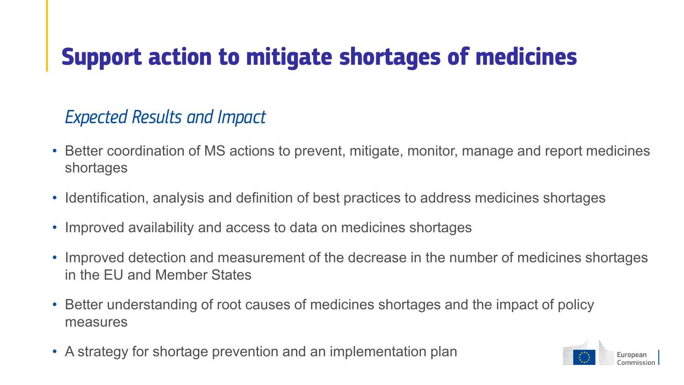#### *Expected Results and Impact*

- Better coordination of MS actions to prevent, mitigate, monitor, manage and report medicines shortages
- Identification, analysis and definition of best practices to address medicines shortages
- Improved availability and access to data on medicines shortages
- Improved detection and measurement of the decrease in the number of medicines shortages in the EU and Member States
- Better understanding of root causes of medicines shortages and the impact of policy measures
- A strategy for shortage prevention and an implementation plan

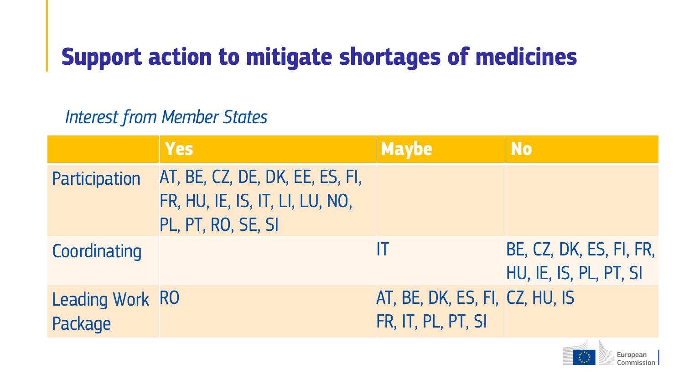### *Interest from Member States*

|                                   | <b>Yes</b>                                                                               | <b>Maybe</b>                                         | <b>No</b>                                         |
|-----------------------------------|------------------------------------------------------------------------------------------|------------------------------------------------------|---------------------------------------------------|
| Participation                     | AT, BE, CZ, DE, DK, EE, ES, FI,<br>FR, HU, IE, IS, IT, LI, LU, NO,<br>PL, PT, RO, SE, SI |                                                      |                                                   |
| Coordinating                      |                                                                                          |                                                      | BE, CZ, DK, ES, FI, FR,<br>HU, IE, IS, PL, PT, SI |
| <b>Leading Work RO</b><br>Package |                                                                                          | AT, BE, DK, ES, FI, CZ, HU, IS<br>FR, IT, PL, PT, SI |                                                   |